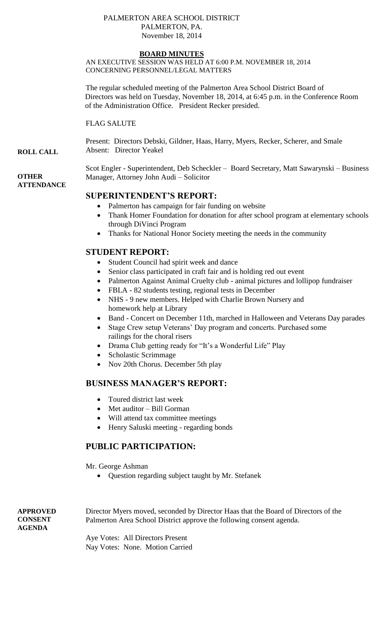#### PALMERTON AREA SCHOOL DISTRICT PALMERTON, PA. November 18, 2014

### **BOARD MINUTES**

AN EXECUTIVE SESSION WAS HELD AT 6:00 P.M. NOVEMBER 18, 2014 CONCERNING PERSONNEL/LEGAL MATTERS

The regular scheduled meeting of the Palmerton Area School District Board of Directors was held on Tuesday, November 18, 2014, at 6:45 p.m. in the Conference Room of the Administration Office. President Recker presided.

FLAG SALUTE

Present: Directors Debski, Gildner, Haas, Harry, Myers, Recker, Scherer, and Smale Absent: Director Yeakel

Scot Engler - Superintendent, Deb Scheckler – Board Secretary, Matt Sawarynski – Business Manager, Attorney John Audi – Solicitor

### **ATTENDANCE**

**ROLL CALL**

**OTHER**

# **SUPERINTENDENT'S REPORT:**

- Palmerton has campaign for fair funding on website
- Thank Homer Foundation for donation for after school program at elementary schools through DiVinci Program
- Thanks for National Honor Society meeting the needs in the community

## **STUDENT REPORT:**

- Student Council had spirit week and dance
- Senior class participated in craft fair and is holding red out event
- Palmerton Against Animal Cruelty club animal pictures and lollipop fundraiser
- FBLA 82 students testing, regional tests in December
- NHS 9 new members. Helped with Charlie Brown Nursery and homework help at Library
- Band Concert on December 11th, marched in Halloween and Veterans Day parades
- Stage Crew setup Veterans' Day program and concerts. Purchased some railings for the choral risers
- Drama Club getting ready for "It's a Wonderful Life" Play
- Scholastic Scrimmage
- Nov 20th Chorus. December 5th play

## **BUSINESS MANAGER'S REPORT:**

- Toured district last week
- Met auditor Bill Gorman
- Will attend tax committee meetings
- Henry Saluski meeting regarding bonds

# **PUBLIC PARTICIPATION:**

Mr. George Ashman

Question regarding subject taught by Mr. Stefanek

**APPROVED CONSENT AGENDA** 

Director Myers moved, seconded by Director Haas that the Board of Directors of the Palmerton Area School District approve the following consent agenda.

Aye Votes: All Directors Present Nay Votes: None. Motion Carried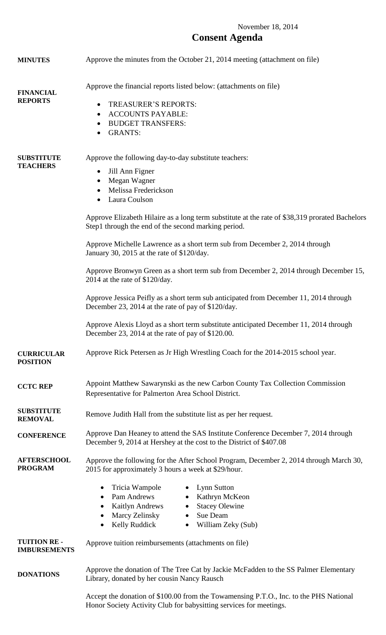# November 18, 2014 **Consent Agenda**

| <b>MINUTES</b>                            | Approve the minutes from the October 21, 2014 meeting (attachment on file)                                                                                                                                                                                                                                                                                                                                                                                                                                                                                                                                                                                                                                                                                                                                                                                                            |
|-------------------------------------------|---------------------------------------------------------------------------------------------------------------------------------------------------------------------------------------------------------------------------------------------------------------------------------------------------------------------------------------------------------------------------------------------------------------------------------------------------------------------------------------------------------------------------------------------------------------------------------------------------------------------------------------------------------------------------------------------------------------------------------------------------------------------------------------------------------------------------------------------------------------------------------------|
| <b>FINANCIAL</b><br><b>REPORTS</b>        | Approve the financial reports listed below: (attachments on file)<br><b>TREASURER'S REPORTS:</b><br>$\bullet$<br><b>ACCOUNTS PAYABLE:</b><br>$\bullet$<br><b>BUDGET TRANSFERS:</b><br>$\bullet$<br><b>GRANTS:</b><br>$\bullet$                                                                                                                                                                                                                                                                                                                                                                                                                                                                                                                                                                                                                                                        |
| <b>SUBSTITUTE</b><br><b>TEACHERS</b>      | Approve the following day-to-day substitute teachers:<br>Jill Ann Figner<br>$\bullet$<br>Megan Wagner<br>$\bullet$<br>Melissa Frederickson<br>Laura Coulson<br>$\bullet$<br>Approve Elizabeth Hilaire as a long term substitute at the rate of \$38,319 prorated Bachelors<br>Step1 through the end of the second marking period.<br>Approve Michelle Lawrence as a short term sub from December 2, 2014 through<br>January 30, 2015 at the rate of \$120/day.<br>Approve Bronwyn Green as a short term sub from December 2, 2014 through December 15,<br>2014 at the rate of \$120/day.<br>Approve Jessica Peifly as a short term sub anticipated from December 11, 2014 through<br>December 23, 2014 at the rate of pay of \$120/day.<br>Approve Alexis Lloyd as a short term substitute anticipated December 11, 2014 through<br>December 23, 2014 at the rate of pay of \$120.00. |
| <b>CURRICULAR</b><br><b>POSITION</b>      | Approve Rick Petersen as Jr High Wrestling Coach for the 2014-2015 school year.                                                                                                                                                                                                                                                                                                                                                                                                                                                                                                                                                                                                                                                                                                                                                                                                       |
| <b>CCTC REP</b>                           | Appoint Matthew Sawarynski as the new Carbon County Tax Collection Commission<br>Representative for Palmerton Area School District.                                                                                                                                                                                                                                                                                                                                                                                                                                                                                                                                                                                                                                                                                                                                                   |
| <b>SUBSTITUTE</b><br><b>REMOVAL</b>       | Remove Judith Hall from the substitute list as per her request.                                                                                                                                                                                                                                                                                                                                                                                                                                                                                                                                                                                                                                                                                                                                                                                                                       |
| <b>CONFERENCE</b>                         | Approve Dan Heaney to attend the SAS Institute Conference December 7, 2014 through<br>December 9, 2014 at Hershey at the cost to the District of \$407.08                                                                                                                                                                                                                                                                                                                                                                                                                                                                                                                                                                                                                                                                                                                             |
| <b>AFTERSCHOOL</b><br><b>PROGRAM</b>      | Approve the following for the After School Program, December 2, 2014 through March 30,<br>2015 for approximately 3 hours a week at \$29/hour.                                                                                                                                                                                                                                                                                                                                                                                                                                                                                                                                                                                                                                                                                                                                         |
|                                           | Tricia Wampole<br>Lynn Sutton<br>$\bullet$<br>$\bullet$<br>Pam Andrews<br>Kathryn McKeon<br>$\bullet$<br>$\bullet$<br><b>Stacey Olewine</b><br><b>Kaitlyn Andrews</b><br>$\bullet$<br>$\bullet$<br>Marcy Zelinsky<br>Sue Deam<br>$\bullet$<br>$\bullet$<br>Kelly Ruddick<br>William Zeky (Sub)<br>$\bullet$<br>$\bullet$                                                                                                                                                                                                                                                                                                                                                                                                                                                                                                                                                              |
| <b>TUITION RE-</b><br><b>IMBURSEMENTS</b> | Approve tuition reimbursements (attachments on file)                                                                                                                                                                                                                                                                                                                                                                                                                                                                                                                                                                                                                                                                                                                                                                                                                                  |
| <b>DONATIONS</b>                          | Approve the donation of The Tree Cat by Jackie McFadden to the SS Palmer Elementary<br>Library, donated by her cousin Nancy Rausch                                                                                                                                                                                                                                                                                                                                                                                                                                                                                                                                                                                                                                                                                                                                                    |
|                                           | Accept the donation of \$100.00 from the Towamensing P.T.O., Inc. to the PHS National                                                                                                                                                                                                                                                                                                                                                                                                                                                                                                                                                                                                                                                                                                                                                                                                 |

Honor Society Activity Club for babysitting services for meetings.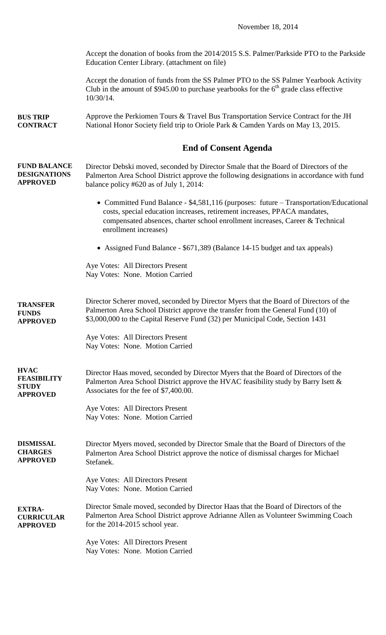Accept the donation of books from the 2014/2015 S.S. Palmer/Parkside PTO to the Parkside Education Center Library. (attachment on file)

Accept the donation of funds from the SS Palmer PTO to the SS Palmer Yearbook Activity Club in the amount of \$945.00 to purchase yearbooks for the  $6<sup>th</sup>$  grade class effective 10/30/14.

**BUS TRIP CONTRACT** Approve the Perkiomen Tours & Travel Bus Transportation Service Contract for the JH National Honor Society field trip to Oriole Park & Camden Yards on May 13, 2015.

### **End of Consent Agenda**

**FUND BALANCE DESIGNATIONS APPROVED** Director Debski moved, seconded by Director Smale that the Board of Directors of the Palmerton Area School District approve the following designations in accordance with fund balance policy #620 as of July 1, 2014:

- Committed Fund Balance \$4,581,116 (purposes: future Transportation/Educational costs, special education increases, retirement increases, PPACA mandates, compensated absences, charter school enrollment increases, Career & Technical enrollment increases)
- Assigned Fund Balance \$671,389 (Balance 14-15 budget and tax appeals)

Aye Votes: All Directors Present Nay Votes: None. Motion Carried

**TRANSFER FUNDS APPROVED** Director Scherer moved, seconded by Director Myers that the Board of Directors of the Palmerton Area School District approve the transfer from the General Fund (10) of \$3,000,000 to the Capital Reserve Fund (32) per Municipal Code, Section 1431

> Aye Votes: All Directors Present Nay Votes: None. Motion Carried

**HVAC FEASIBILITY STUDY APPROVED** Director Haas moved, seconded by Director Myers that the Board of Directors of the Palmerton Area School District approve the HVAC feasibility study by Barry Isett & Associates for the fee of \$7,400.00.

> Aye Votes: All Directors Present Nay Votes: None. Motion Carried

**DISMISSAL CHARGES APPROVED** Director Myers moved, seconded by Director Smale that the Board of Directors of the Palmerton Area School District approve the notice of dismissal charges for Michael Stefanek.

> Aye Votes: All Directors Present Nay Votes: None. Motion Carried

**EXTRA-CURRICULAR APPROVED** Director Smale moved, seconded by Director Haas that the Board of Directors of the Palmerton Area School District approve Adrianne Allen as Volunteer Swimming Coach for the 2014-2015 school year.

> Aye Votes: All Directors Present Nay Votes: None. Motion Carried